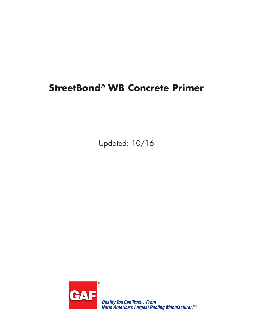# **StreetBond® WB Concrete Primer**

Updated: 10/16



Quality You Can Trust...From<br>North America's Largest Roofing Manufacturer!™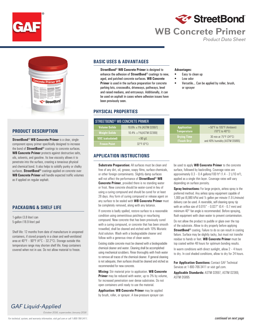



## **WB Concrete Primer**

 *Product Data Sheet*



#### **PRODUCT DESCRIPTION**

**StreetBond® WB Concrete Primer** is a clear, singlecomponent epoxy primer specifically designed to increase the bond of **StreetBond®** coatings to concrete surfaces. **WB Concrete Primer** protects against destructive salts, oils, solvents, and gasoline. Its low viscosity allows it to penetrate into the surface, creating a tenacious physical and chemical bond. It also helps to solidify punky or chalky surfaces. **StreetBond®** coatings applied on concrete over **WB Concrete Primer** will handle expected traffic volumes as if applied on regular asphalt.

#### **PACKAGING & SHELF LIFE**

1-gallon (3.8 liter) can 5-gallon (18.9 liter) pail

Shelf life: 12 months from date of manufacture in unopened containers, if stored properly in a clean and well-ventilated area at 40°F – 90°F (4°C – 32.2°C). Storage outside this temperature range may shorten shelf life. Keep containers covered when not in use. Do not allow material to freeze.

*GAF Liquid-Applied October 2016, supercedes January 2016*

### **BASIC USES & ADVANTAGES**

**StreetBond**® **WB Concrete Primer** is designed to enhance the adhesion of **StreetBond**® coatings to new, aged, and patched concrete surfaces. **WB Concrete Primer** is used in the surface preparation for concrete parking lots, crosswalks, driveways, pathways, level and raised medians, and entryways. Additionally, it can be used on asphalt in cases where adhesion issues have been previously seen.

#### **PHYSICAL PROPERTIES**

| $\texttt{STRFFFBOND}^{\textcircled{\tiny{\textcirc}}}$ wb concrete primer |                                 |
|---------------------------------------------------------------------------|---------------------------------|
| <b>Volume Solids</b>                                                      | 10.6% ± 1% [ASTM D2697]         |
| <b>Weight Solids</b>                                                      | 10.4% ± 1% [ASTM D2369]         |
| <b>VOC</b> (calculated)                                                   | $< 90$ g/L                      |
| <b>Freeze Point</b>                                                       | $32^{\circ}$ F (0 $^{\circ}$ C) |

#### **APPLICATION INSTRUCTIONS**

**Substrate Preparation:** All surfaces must be clean and free of any dirt, oil, grease, soapy films, surface chemicals, or other foreign contaminants. Slightly damp surfaces will not affect the performance of **StreetBond® WB Concrete Primer**, provided there is no standing water or frost. New concrete should be water-cured in lieu of using a curing compound and should be cured for at least 28 days. Any form of curing compound or release agent on any surface to be sealed with **WB Concrete Primer** must be completely removed, along with any laitance.

If concrete is badly spalled, restore surface to a reasonable condition using cementitious patching or resurfacing compound. New concrete that has been previously cured with a curing compound, or concrete that has been smooth trowelled, shall be cleaned and etched with 10% Muriatic Acid solution. Wash with a biodegradable cleaner and follow with a generous rinse of clean water.

Existing stable concrete must be cleaned with a biodegradable chemical cleaner and water. Cleaning shall be accomplished using mechanical scrubbers. Rinse thoroughly with fresh water to remove all traces of the chemical cleaner. If general cleaning is not adequate, then surfaces should be cleaned and etched as recommended for new concrete.

**Mixing:** Stir material prior to application. **WB Concrete Primer** may be reduced with water, up to 3% by volume, for increased penetration over dense substrates. Do not open containers until ready to use the material.

**Application: WB Concrete Primer** may be applied by brush, roller, or sprayer. A low-pressure sprayer can

#### **Advantages:**

- Easy to clean up
- Low odor
- Versatile... Can be applied by roller, brush, or sprayer

| <b>Application</b> | $+50^{\circ}$ F to 105°F (Ambient) |
|--------------------|------------------------------------|
| <b>Temperature</b> | $(10^{\circ}$ C to $40^{\circ}$ C) |
| <b>Drying Time</b> | 30 min at 75°F (24°C)              |
| (Touch Dry)        | and 40% humidity [ASTM D5895]      |

be used to apply **WB Concrete Primer** to the concrete surface, followed by backrolling. Coverage rates are approximately  $0.3 - 0.4$  gallons/100 ft<sup>2</sup> (1.4 – 2 L/10 m<sup>2</sup>), applied as a single thin layer. Coverage rates will vary depending on surface porosity.

**Spray Instructions:** For large projects, airless spray is the preferred method. Any airless spray equipment capable of 1,000 psi (6,980 kPa) and ½ gallon per minute (1.9 L/minute) delivery can be used. A reversible, self-cleaning spray tip with an orifice size of 0.015" – 0.027" (0.4 – 0.7 mm) and minimum 40° fan angle is recommended. Before spraying, flush equipment with clean water to prevent contamination.

Do not allow the product to puddle or glaze over the top of the substrate. Allow to dry properly before applying **StreetBond®** coating. Failure to do so can result in coating failure. Surface may be slightly tacky, but must not transfer residue to hands or feet. **WB Concrete Primer** must be top coated within 48 hours for optimum bonding results.

In warm conditions with direct sunlight, allow  $2 - 4$  hours to dry. In cool shaded conditions, allow to dry for 24 hours.

**For Application Questions:** Contact GAF Technical Services at 1-800-766-3411 or visit gaf.com.

**Applicable Standards:** ASTM D2697, ASTM D2369, ASTM D5895